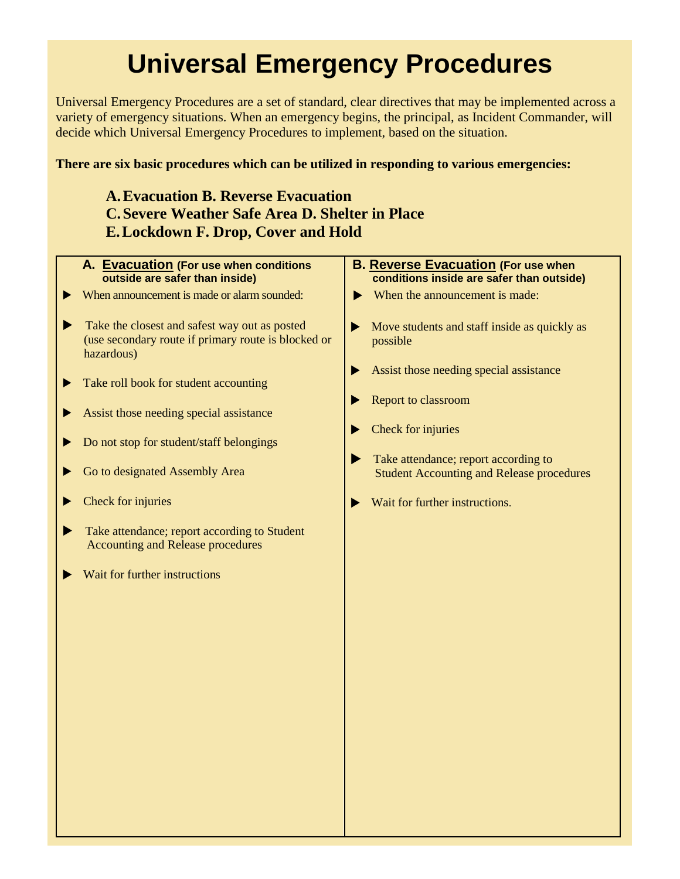## **Universal Emergency Procedures**

Universal Emergency Procedures are a set of standard, clear directives that may be implemented across a variety of emergency situations. When an emergency begins, the principal, as Incident Commander, will decide which Universal Emergency Procedures to implement, based on the situation.

## **There are six basic procedures which can be utilized in responding to various emergencies:**

## **A.Evacuation B. Reverse Evacuation C.Severe Weather Safe Area D. Shelter in Place E.Lockdown F. Drop, Cover and Hold**

|   | A. Evacuation (For use when conditions<br>outside are safer than inside)                                           | <b>B. Reverse Evacuation (For use when</b><br>conditions inside are safer than outside)       |
|---|--------------------------------------------------------------------------------------------------------------------|-----------------------------------------------------------------------------------------------|
|   | When announcement is made or alarm sounded:                                                                        | When the announcement is made:<br>▶                                                           |
|   | Take the closest and safest way out as posted<br>(use secondary route if primary route is blocked or<br>hazardous) | Move students and staff inside as quickly as<br>▶<br>possible                                 |
| ▶ | Take roll book for student accounting                                                                              | Assist those needing special assistance<br>Report to classroom                                |
| ▶ | Assist those needing special assistance                                                                            |                                                                                               |
| ▶ | Do not stop for student/staff belongings                                                                           | Check for injuries                                                                            |
|   | Go to designated Assembly Area                                                                                     | Take attendance; report according to<br>▶<br><b>Student Accounting and Release procedures</b> |
|   | Check for injuries                                                                                                 | Wait for further instructions.                                                                |
|   | Take attendance; report according to Student<br><b>Accounting and Release procedures</b>                           |                                                                                               |
|   | Wait for further instructions                                                                                      |                                                                                               |
|   |                                                                                                                    |                                                                                               |
|   |                                                                                                                    |                                                                                               |
|   |                                                                                                                    |                                                                                               |
|   |                                                                                                                    |                                                                                               |
|   |                                                                                                                    |                                                                                               |
|   |                                                                                                                    |                                                                                               |
|   |                                                                                                                    |                                                                                               |
|   |                                                                                                                    |                                                                                               |